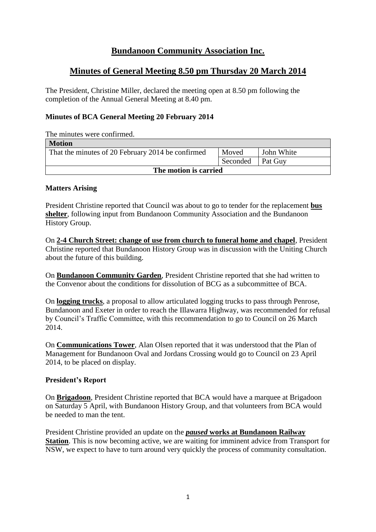# **Bundanoon Community Association Inc.**

# **Minutes of General Meeting 8.50 pm Thursday 20 March 2014**

The President, Christine Miller, declared the meeting open at 8.50 pm following the completion of the Annual General Meeting at 8.40 pm.

## **Minutes of BCA General Meeting 20 February 2014**

The minutes were confirmed.

| <b>Motion</b>                                     |          |            |  |
|---------------------------------------------------|----------|------------|--|
| That the minutes of 20 February 2014 be confirmed | Moved    | John White |  |
|                                                   | Seconded | Pat Guy    |  |
| The motion is carried                             |          |            |  |

## **Matters Arising**

President Christine reported that Council was about to go to tender for the replacement **bus shelter**, following input from Bundanoon Community Association and the Bundanoon History Group.

On **2-4 Church Street: change of use from church to funeral home and chapel**, President Christine reported that Bundanoon History Group was in discussion with the Uniting Church about the future of this building.

On **Bundanoon Community Garden**, President Christine reported that she had written to the Convenor about the conditions for dissolution of BCG as a subcommittee of BCA.

On **logging trucks**, a proposal to allow articulated logging trucks to pass through Penrose, Bundanoon and Exeter in order to reach the Illawarra Highway, was recommended for refusal by Council's Traffic Committee, with this recommendation to go to Council on 26 March 2014.

On **Communications Tower**, Alan Olsen reported that it was understood that the Plan of Management for Bundanoon Oval and Jordans Crossing would go to Council on 23 April 2014, to be placed on display.

## **President's Report**

On **Brigadoon**, President Christine reported that BCA would have a marquee at Brigadoon on Saturday 5 April, with Bundanoon History Group, and that volunteers from BCA would be needed to man the tent.

President Christine provided an update on the *paused* **works at Bundanoon Railway Station**. This is now becoming active, we are waiting for imminent advice from Transport for NSW, we expect to have to turn around very quickly the process of community consultation.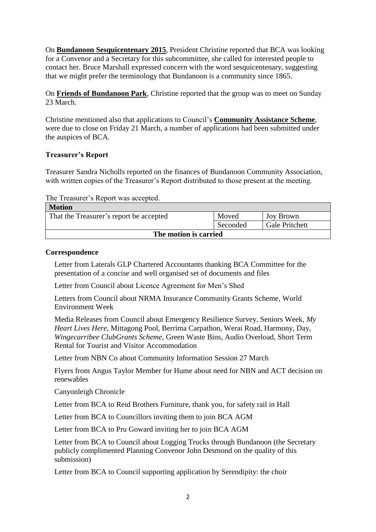On **Bundanoon Sesquicentenary 2015**, President Christine reported that BCA was looking for a Convenor and a Secretary for this subcommittee, she called for interested people to contact her. Bruce Marshall expressed concern with the word sesquicentenary, suggesting that we might prefer the terminology that Bundanoon is a community since 1865.

On **Friends of Bundanoon Park**, Christine reported that the group was to meet on Sunday 23 March.

Christine mentioned also that applications to Council's **Community Assistance Scheme**, were due to close on Friday 21 March, a number of applications had been submitted under the auspices of BCA.

## **Treasurer's Report**

Treasurer Sandra Nicholls reported on the finances of Bundanoon Community Association, with written copies of the Treasurer's Report distributed to those present at the meeting.

The Treasurer's Report was accepted.

| <b>Motion</b>                           |          |                       |  |
|-----------------------------------------|----------|-----------------------|--|
| That the Treasurer's report be accepted | Moved    | Joy Brown             |  |
|                                         | Seconded | <b>Gale Pritchett</b> |  |
| The motion is carried                   |          |                       |  |

#### **Correspondence**

Letter from Laterals GLP Chartered Accountants thanking BCA Committee for the presentation of a concise and well organised set of documents and files

Letter from Council about Licence Agreement for Men's Shed

Letters from Council about NRMA Insurance Community Grants Scheme, World Environment Week

Media Releases from Council about Emergency Resilience Survey, Seniors Week, *My Heart Lives Here*, Mittagong Pool, Berrima Carpathon, Werai Road, Harmony, Day, *Wingecarribee ClubGrants Scheme*, Green Waste Bins, Audio Overload, Short Term Rental for Tourist and Visitor Accommodation

Letter from NBN Co about Community Information Session 27 March

Flyers from Angus Taylor Member for Hume about need for NBN and ACT decision on renewables

Canyonleigh Chronicle

Letter from BCA to Reid Brothers Furniture, thank you, for safety rail in Hall

Letter from BCA to Councillors inviting them to join BCA AGM

Letter from BCA to Pru Goward inviting her to join BCA AGM

Letter from BCA to Council about Logging Trucks through Bundanoon (the Secretary publicly complimented Planning Convenor John Desmond on the quality of this submission)

Letter from BCA to Council supporting application by Serendipity: the choir